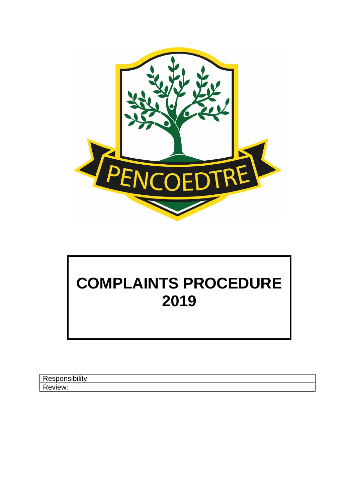

# **COMPLAINTS PROCEDURE 2019**

| <b>ALC: YES:</b><br>. |  |
|-----------------------|--|
| -<br>ייי              |  |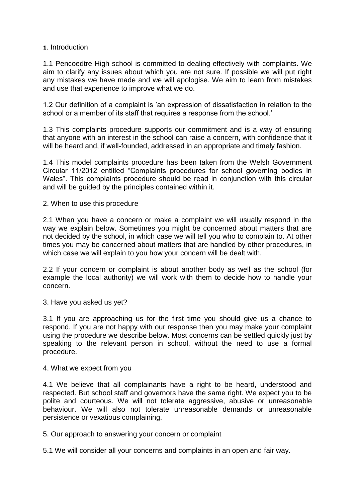## **1**. Introduction

1.1 Pencoedtre High school is committed to dealing effectively with complaints. We aim to clarify any issues about which you are not sure. If possible we will put right any mistakes we have made and we will apologise. We aim to learn from mistakes and use that experience to improve what we do.

1.2 Our definition of a complaint is 'an expression of dissatisfaction in relation to the school or a member of its staff that requires a response from the school.'

1.3 This complaints procedure supports our commitment and is a way of ensuring that anyone with an interest in the school can raise a concern, with confidence that it will be heard and, if well-founded, addressed in an appropriate and timely fashion.

1.4 This model complaints procedure has been taken from the Welsh Government Circular 11/2012 entitled "Complaints procedures for school governing bodies in Wales". This complaints procedure should be read in conjunction with this circular and will be guided by the principles contained within it.

## 2. When to use this procedure

2.1 When you have a concern or make a complaint we will usually respond in the way we explain below. Sometimes you might be concerned about matters that are not decided by the school, in which case we will tell you who to complain to. At other times you may be concerned about matters that are handled by other procedures, in which case we will explain to you how your concern will be dealt with.

2.2 If your concern or complaint is about another body as well as the school (for example the local authority) we will work with them to decide how to handle your concern.

3. Have you asked us yet?

3.1 If you are approaching us for the first time you should give us a chance to respond. If you are not happy with our response then you may make your complaint using the procedure we describe below. Most concerns can be settled quickly just by speaking to the relevant person in school, without the need to use a formal procedure.

## 4. What we expect from you

4.1 We believe that all complainants have a right to be heard, understood and respected. But school staff and governors have the same right. We expect you to be polite and courteous. We will not tolerate aggressive, abusive or unreasonable behaviour. We will also not tolerate unreasonable demands or unreasonable persistence or vexatious complaining.

5. Our approach to answering your concern or complaint

5.1 We will consider all your concerns and complaints in an open and fair way.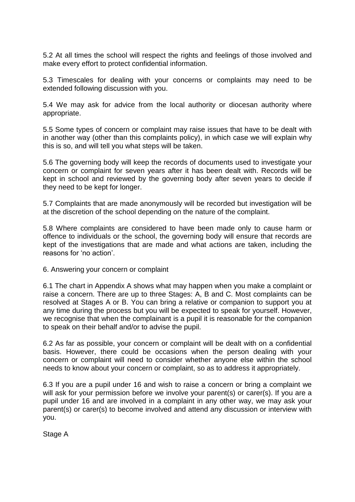5.2 At all times the school will respect the rights and feelings of those involved and make every effort to protect confidential information.

5.3 Timescales for dealing with your concerns or complaints may need to be extended following discussion with you.

5.4 We may ask for advice from the local authority or diocesan authority where appropriate.

5.5 Some types of concern or complaint may raise issues that have to be dealt with in another way (other than this complaints policy), in which case we will explain why this is so, and will tell you what steps will be taken.

5.6 The governing body will keep the records of documents used to investigate your concern or complaint for seven years after it has been dealt with. Records will be kept in school and reviewed by the governing body after seven years to decide if they need to be kept for longer.

5.7 Complaints that are made anonymously will be recorded but investigation will be at the discretion of the school depending on the nature of the complaint.

5.8 Where complaints are considered to have been made only to cause harm or offence to individuals or the school, the governing body will ensure that records are kept of the investigations that are made and what actions are taken, including the reasons for 'no action'.

6. Answering your concern or complaint

6.1 The chart in Appendix A shows what may happen when you make a complaint or raise a concern. There are up to three Stages: A, B and C. Most complaints can be resolved at Stages A or B. You can bring a relative or companion to support you at any time during the process but you will be expected to speak for yourself. However, we recognise that when the complainant is a pupil it is reasonable for the companion to speak on their behalf and/or to advise the pupil.

6.2 As far as possible, your concern or complaint will be dealt with on a confidential basis. However, there could be occasions when the person dealing with your concern or complaint will need to consider whether anyone else within the school needs to know about your concern or complaint, so as to address it appropriately.

6.3 If you are a pupil under 16 and wish to raise a concern or bring a complaint we will ask for your permission before we involve your parent(s) or carer(s). If you are a pupil under 16 and are involved in a complaint in any other way, we may ask your parent(s) or carer(s) to become involved and attend any discussion or interview with you.

Stage A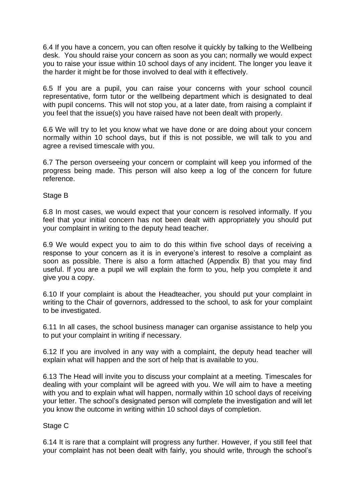6.4 If you have a concern, you can often resolve it quickly by talking to the Wellbeing desk. You should raise your concern as soon as you can; normally we would expect you to raise your issue within 10 school days of any incident. The longer you leave it the harder it might be for those involved to deal with it effectively.

6.5 If you are a pupil, you can raise your concerns with your school council representative, form tutor or the wellbeing department which is designated to deal with pupil concerns. This will not stop you, at a later date, from raising a complaint if you feel that the issue(s) you have raised have not been dealt with properly.

6.6 We will try to let you know what we have done or are doing about your concern normally within 10 school days, but if this is not possible, we will talk to you and agree a revised timescale with you.

6.7 The person overseeing your concern or complaint will keep you informed of the progress being made. This person will also keep a log of the concern for future reference.

Stage B

6.8 In most cases, we would expect that your concern is resolved informally. If you feel that your initial concern has not been dealt with appropriately you should put your complaint in writing to the deputy head teacher.

6.9 We would expect you to aim to do this within five school days of receiving a response to your concern as it is in everyone's interest to resolve a complaint as soon as possible. There is also a form attached (Appendix B) that you may find useful. If you are a pupil we will explain the form to you, help you complete it and give you a copy.

6.10 If your complaint is about the Headteacher, you should put your complaint in writing to the Chair of governors, addressed to the school, to ask for your complaint to be investigated.

6.11 In all cases, the school business manager can organise assistance to help you to put your complaint in writing if necessary.

6.12 If you are involved in any way with a complaint, the deputy head teacher will explain what will happen and the sort of help that is available to you.

6.13 The Head will invite you to discuss your complaint at a meeting. Timescales for dealing with your complaint will be agreed with you. We will aim to have a meeting with you and to explain what will happen, normally within 10 school days of receiving your letter. The school's designated person will complete the investigation and will let you know the outcome in writing within 10 school days of completion.

Stage C

6.14 It is rare that a complaint will progress any further. However, if you still feel that your complaint has not been dealt with fairly, you should write, through the school's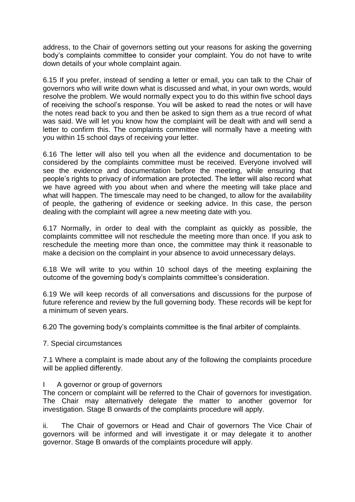address, to the Chair of governors setting out your reasons for asking the governing body's complaints committee to consider your complaint. You do not have to write down details of your whole complaint again.

6.15 If you prefer, instead of sending a letter or email, you can talk to the Chair of governors who will write down what is discussed and what, in your own words, would resolve the problem. We would normally expect you to do this within five school days of receiving the school's response. You will be asked to read the notes or will have the notes read back to you and then be asked to sign them as a true record of what was said. We will let you know how the complaint will be dealt with and will send a letter to confirm this. The complaints committee will normally have a meeting with you within 15 school days of receiving your letter.

6.16 The letter will also tell you when all the evidence and documentation to be considered by the complaints committee must be received. Everyone involved will see the evidence and documentation before the meeting, while ensuring that people's rights to privacy of information are protected. The letter will also record what we have agreed with you about when and where the meeting will take place and what will happen. The timescale may need to be changed, to allow for the availability of people, the gathering of evidence or seeking advice. In this case, the person dealing with the complaint will agree a new meeting date with you.

6.17 Normally, in order to deal with the complaint as quickly as possible, the complaints committee will not reschedule the meeting more than once. If you ask to reschedule the meeting more than once, the committee may think it reasonable to make a decision on the complaint in your absence to avoid unnecessary delays.

6.18 We will write to you within 10 school days of the meeting explaining the outcome of the governing body's complaints committee's consideration.

6.19 We will keep records of all conversations and discussions for the purpose of future reference and review by the full governing body. These records will be kept for a minimum of seven years.

6.20 The governing body's complaints committee is the final arbiter of complaints.

7. Special circumstances

7.1 Where a complaint is made about any of the following the complaints procedure will be applied differently.

## A governor or group of governors

The concern or complaint will be referred to the Chair of governors for investigation. The Chair may alternatively delegate the matter to another governor for investigation. Stage B onwards of the complaints procedure will apply.

ii. The Chair of governors or Head and Chair of governors The Vice Chair of governors will be informed and will investigate it or may delegate it to another governor. Stage B onwards of the complaints procedure will apply.